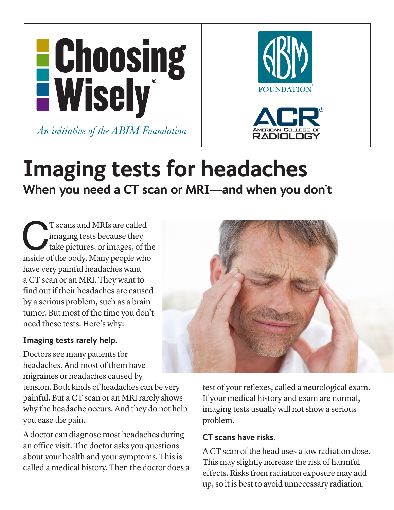





# **Imaging tests for headaches When you need a CT scan or MRI—and when you don't**

T scans and MRIs are called<br>
imaging tests because they<br>
take pictures, or images, of the<br>
inside of the body. Many people who imaging tests because they take pictures, or images, of the have very painful headaches want a CT scan or an MRI. They want to find out if their headaches are caused by a serious problem, such as a brain tumor. But most of the time you don't need these tests. Here's why:

#### **Imaging tests rarely help.**

Doctors see many patients for headaches. And most of them have migraines or headaches caused by

tension. Both kinds of headaches can be very painful. But a CT scan or an MRI rarely shows why the headache occurs. And they do not help you ease the pain.

A doctor can diagnose most headaches during an office visit. The doctor asks you questions about your health and your symptoms. This is called a medical history. Then the doctor does a



test of your reflexes, called a neurological exam. If your medical history and exam are normal, imaging tests usually will not show a serious problem.

## **CT scans have risks.**

A CT scan of the head uses a low radiation dose. This may slightly increase the risk of harmful effects. Risks from radiation exposure may add up, so it is best to avoid unnecessary radiation.